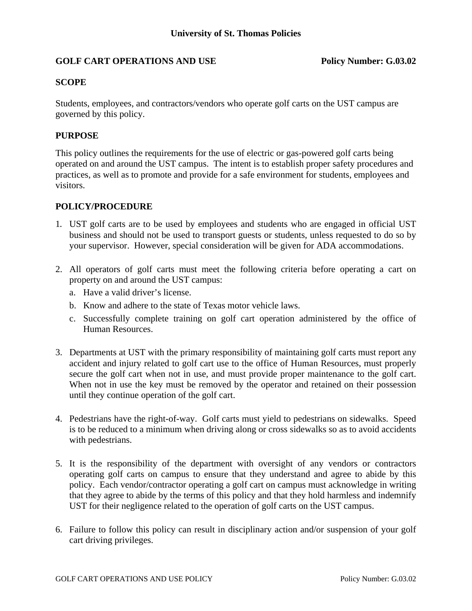# GOLF CART OPERATIONS AND USE Policy Number: G.03.02

## **SCOPE**

Students, employees, and contractors/vendors who operate golf carts on the UST campus are governed by this policy.

## **PURPOSE**

This policy outlines the requirements for the use of electric or gas-powered golf carts being operated on and around the UST campus. The intent is to establish proper safety procedures and practices, as well as to promote and provide for a safe environment for students, employees and visitors.

#### **POLICY/PROCEDURE**

- 1**.** UST golf carts are to be used by employees and students who are engaged in official UST business and should not be used to transport guests or students, unless requested to do so by your supervisor. However, special consideration will be given for ADA accommodations.
- 2. All operators of golf carts must meet the following criteria before operating a cart on property on and around the UST campus:
	- a. Have a valid driver's license.
	- b. Know and adhere to the state of Texas motor vehicle laws.
	- c. Successfully complete training on golf cart operation administered by the office of Human Resources.
- 3. Departments at UST with the primary responsibility of maintaining golf carts must report any accident and injury related to golf cart use to the office of Human Resources, must properly secure the golf cart when not in use, and must provide proper maintenance to the golf cart. When not in use the key must be removed by the operator and retained on their possession until they continue operation of the golf cart.
- 4. Pedestrians have the right-of-way. Golf carts must yield to pedestrians on sidewalks. Speed is to be reduced to a minimum when driving along or cross sidewalks so as to avoid accidents with pedestrians.
- 5. It is the responsibility of the department with oversight of any vendors or contractors operating golf carts on campus to ensure that they understand and agree to abide by this policy. Each vendor/contractor operating a golf cart on campus must acknowledge in writing that they agree to abide by the terms of this policy and that they hold harmless and indemnify UST for their negligence related to the operation of golf carts on the UST campus.
- 6. Failure to follow this policy can result in disciplinary action and/or suspension of your golf cart driving privileges.